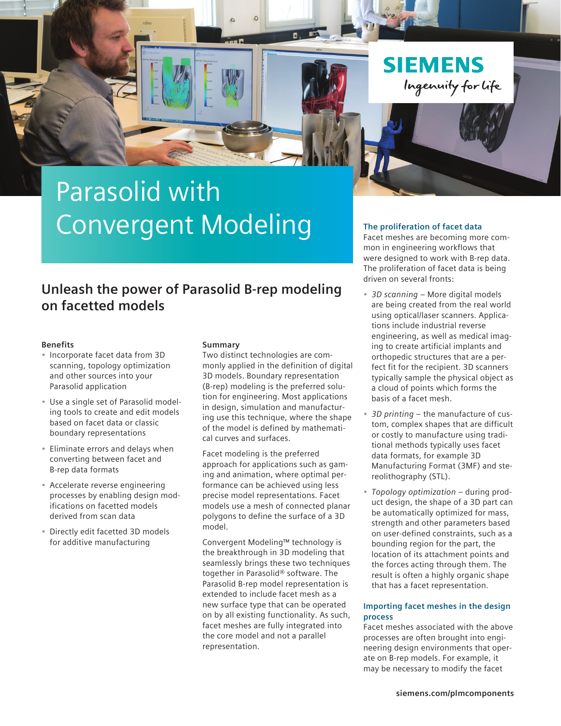

# Parasolid with Convergent Modeling

### **Unleash the power of Parasolid B-rep modeling on facetted models**

### **Benefits**

- Incorporate facet data from 3D scanning, topology optimization and other sources into your Parasolid application
- Use a single set of Parasolid modeling tools to create and edit models based on facet data or classic boundary representations
- Eliminate errors and delays when converting between facet and B-rep data formats
- Accelerate reverse engineering processes by enabling design modifications on facetted models derived from scan data
- Directly edit facetted 3D models for additive manufacturing

### **Summary**

Two distinct technologies are commonly applied in the definition of digital 3D models. Boundary representation (B-rep) modeling is the preferred solution for engineering. Most applications in design, simulation and manufacturing use this technique, where the shape of the model is defined by mathematical curves and surfaces.

Facet modeling is the preferred approach for applications such as gaming and animation, where optimal performance can be achieved using less precise model representations. Facet models use a mesh of connected planar polygons to define the surface of a 3D model.

Convergent Modeling™ technology is the breakthrough in 3D modeling that seamlessly brings these two techniques together in Parasolid® software. The Parasolid B-rep model representation is extended to include facet mesh as a new surface type that can be operated on by all existing functionality. As such, facet meshes are fully integrated into the core model and not a parallel representation.

### **The proliferation of facet data**

Facet meshes are becoming more common in engineering workflows that were designed to work with B-rep data. The proliferation of facet data is being driven on several fronts:

- *3D scanning* More digital models are being created from the real world using optical/laser scanners. Applications include industrial reverse engineering, as well as medical imaging to create artificial implants and orthopedic structures that are a perfect fit for the recipient. 3D scanners typically sample the physical object as a cloud of points which forms the basis of a facet mesh.
- *3D printing* the manufacture of custom, complex shapes that are difficult or costly to manufacture using traditional methods typically uses facet data formats, for example 3D Manufacturing Format (3MF) and stereolithography (STL).
- *Topology optimization* during product design, the shape of a 3D part can be automatically optimized for mass, strength and other parameters based on user-defined constraints, such as a bounding region for the part, the location of its attachment points and the forces acting through them. The result is often a highly organic shape that has a facet representation.

### **Importing facet meshes in the design process**

Facet meshes associated with the above processes are often brought into engineering design environments that operate on B-rep models. For example, it may be necessary to modify the facet